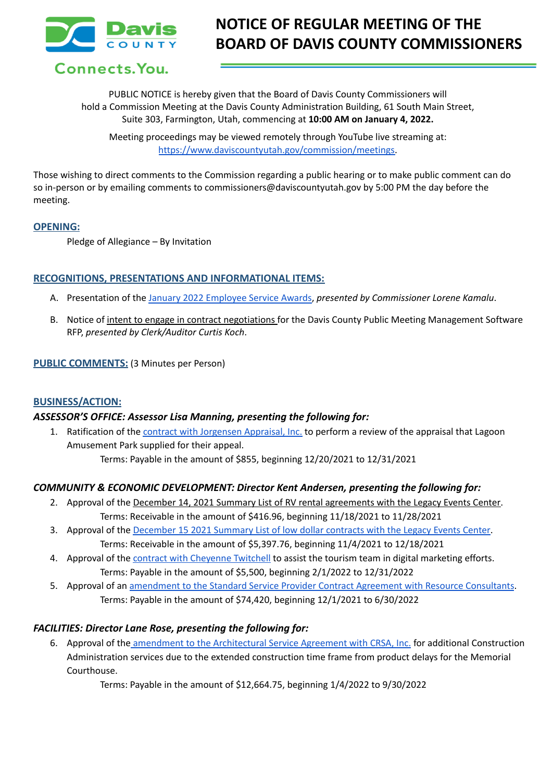

Connects. You.

PUBLIC NOTICE is hereby given that the Board of Davis County Commissioners will hold a Commission Meeting at the Davis County Administration Building, 61 South Main Street, Suite 303, Farmington, Utah, commencing at **10:00 AM on January 4, 2022.**

Meeting proceedings may be viewed remotely through YouTube live streaming at: [https://www.daviscountyutah.gov/commission/meetings.](https://www.daviscountyutah.gov/commission/meetings)

Those wishing to direct comments to the Commission regarding a public hearing or to make public comment can do so in-person or by emailing comments to commissioners@daviscountyutah.gov by 5:00 PM the day before the meeting.

### **OPENING:**

Pledge of Allegiance – By Invitation

### **RECOGNITIONS, PRESENTATIONS AND INFORMATIONAL ITEMS:**

- A. Presentation of the January 2022 [Employee](https://drive.google.com/file/d/1ySZRB5uDgnAByoZHMbUxBhtq68YgN-Iv/view?usp=sharing) Service Awards, *presented by Commissioner Lorene Kamalu*.
- B. Notice of intent to engage in contract negotiations for the Davis County Public Meeting Management Software RFP, *presented by Clerk/Auditor Curtis Koch*.

#### **PUBLIC COMMENTS:** (3 Minutes per Person)

## **BUSINESS/ACTION:**

#### *ASSESSOR'S OFFICE: Assessor Lisa Manning, presenting the following for:*

1. Ratification of the contract with [Jorgensen](https://drive.google.com/file/d/1tpQh0iCcg8WZ5c4a8KZETm_bqK2X8hk-/view?usp=sharing) Appraisal, Inc. to perform a review of the appraisal that Lagoon Amusement Park supplied for their appeal. Terms: Payable in the amount of \$855, beginning 12/20/2021 to 12/31/2021

## *COMMUNITY & ECONOMIC DEVELOPMENT: Director Kent Andersen, presenting the following for:*

- 2. Approval of the December 14, 2021 Summary List of RV rental agreements with the Legacy Events Center. Terms: Receivable in the amount of \$416.96, beginning 11/18/2021 to 11/28/2021
- 3. Approval of the [December](https://drive.google.com/file/d/1nscokUalkkRGyk7yC3Ja6imVCyJrnD_j/view?usp=sharing) 15 2021 Summary List of low dollar contracts with the Legacy Events Center. Terms: Receivable in the amount of \$5,397.76, beginning 11/4/2021 to 12/18/2021
- 4. Approval of the contract with [Cheyenne](https://drive.google.com/file/d/1De57F8lLsaC-x625fsv5gZUx-w0ipi9w/view?usp=sharing) Twitchell to assist the tourism team in digital marketing efforts. Terms: Payable in the amount of \$5,500, beginning 2/1/2022 to 12/31/2022
- 5. Approval of an [amendment](https://drive.google.com/file/d/1ubtAFBK_ah_uDe6-cw7s5FnHDRlq-NWG/view?usp=sharing) to the Standard Service Provider Contract Agreement with Resource Consultants. Terms: Payable in the amount of \$74,420, beginning 12/1/2021 to 6/30/2022

## *FACILITIES: Director Lane Rose, presenting the following for:*

6. Approval of the amendment to the [Architectural](https://drive.google.com/file/d/18ZMRW2kYB8f0Naj9QIbZ7V3nTE0_szKO/view?usp=sharing) Service Agreement with CRSA, Inc. for additional Construction Administration services due to the extended construction time frame from product delays for the Memorial Courthouse.

Terms: Payable in the amount of \$12,664.75, beginning 1/4/2022 to 9/30/2022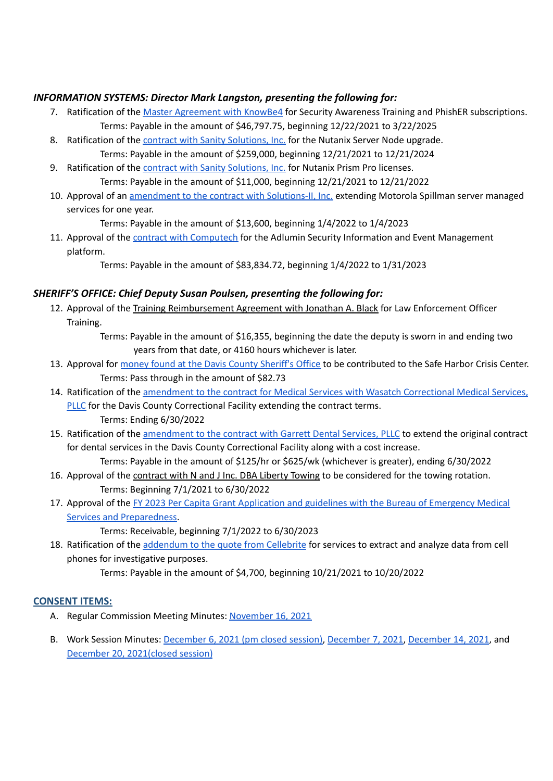# *INFORMATION SYSTEMS: Director Mark Langston, presenting the following for:*

- 7. Ratification of the Master [Agreement](https://drive.google.com/file/d/1Ir55lvArUPQCNKKGTWhhQE8OCOjfLSdx/view?usp=sharing) with KnowBe4 for Security Awareness Training and PhishER subscriptions. Terms: Payable in the amount of \$46,797.75, beginning 12/22/2021 to 3/22/2025
- 8. Ratification of the contract with Sanity [Solutions,](https://drive.google.com/file/d/1--Z4YnryqKHlD0bGVnjc65pMsVzZyB4e/view?usp=sharing) Inc. for the Nutanix Server Node upgrade. Terms: Payable in the amount of \$259,000, beginning 12/21/2021 to 12/21/2024
- 9. Ratification of the contract with Sanity [Solutions,](https://drive.google.com/file/d/1o4vGjX0wmZLWNm2LQO4GV63-O97ri9wu/view?usp=sharing) Inc. for Nutanix Prism Pro licenses. Terms: Payable in the amount of \$11,000, beginning 12/21/2021 to 12/21/2022
- 10. Approval of an [amendment](https://drive.google.com/file/d/18ZyBmjuadohLLU-XW9WGZUL6q8XUKBJF/view?usp=sharing) to the contract with Solutions-II, Inc. extending Motorola Spillman server managed services for one year.

Terms: Payable in the amount of \$13,600, beginning 1/4/2022 to 1/4/2023

11. Approval of the contract with [Computech](https://drive.google.com/file/d/15aKf9gBmK2evjVdalm_MX10uH7-R3ZRf/view?usp=sharing) for the Adlumin Security Information and Event Management platform.

Terms: Payable in the amount of \$83,834.72, beginning 1/4/2022 to 1/31/2023

# *SHERIFF'S OFFICE: Chief Deputy Susan Poulsen, presenting the following for:*

12. Approval of the Training Reimbursement Agreement with Jonathan A. Black for Law Enforcement Officer Training.

> Terms: Payable in the amount of \$16,355, beginning the date the deputy is sworn in and ending two years from that date, or 4160 hours whichever is later.

- 13. Approval for money found at the Davis County [Sheriff's](https://docs.google.com/document/d/1d9SF-39pYKA0VzVB_iTgGEuwWtJ7nfeT/edit?usp=sharing&ouid=106668054259493981190&rtpof=true&sd=true) Office to be contributed to the Safe Harbor Crisis Center. Terms: Pass through in the amount of \$82.73
- 14. Ratification of the amendment to the contract for Medical Services with Wasatch [Correctional](https://drive.google.com/file/d/130VBkGBKUN5tLhyEK-oWF3diUYxoJcJh/view?usp=sharing) Medical Services, [PLLC](https://drive.google.com/file/d/130VBkGBKUN5tLhyEK-oWF3diUYxoJcJh/view?usp=sharing) for the Davis County Correctional Facility extending the contract terms.

Terms: Ending 6/30/2022

15. Ratification of the [amendment](https://drive.google.com/file/d/1QUGNOz03mo8BAZQMYjz6PLBw64tnZUly/view?usp=sharing) to the contract with Garrett Dental Services, PLLC to extend the original contract for dental services in the Davis County Correctional Facility along with a cost increase.

Terms: Payable in the amount of \$125/hr or \$625/wk (whichever is greater), ending 6/30/2022

- 16. Approval of the contract with N and J Inc. DBA Liberty Towing to be considered for the towing rotation. Terms: Beginning 7/1/2021 to 6/30/2022
- 17. Approval of the FY 2023 Per Capita Grant [Application](https://drive.google.com/file/d/1J1a6n_y6JDy0JWkfdn-nmX-HbiVPfD1J/view?usp=sharing) and guidelines with the Bureau of Emergency Medical Services and [Preparedness.](https://drive.google.com/file/d/1J1a6n_y6JDy0JWkfdn-nmX-HbiVPfD1J/view?usp=sharing)

Terms: Receivable, beginning 7/1/2022 to 6/30/2023

18. Ratification of the [addendum](https://drive.google.com/file/d/10t7wB1dYxVecdNVlHiITqO1Yftv6ey0n/view?usp=sharing) to the quote from Cellebrite for services to extract and analyze data from cell phones for investigative purposes.

Terms: Payable in the amount of \$4,700, beginning 10/21/2021 to 10/20/2022

## **CONSENT ITEMS:**

- A. Regular Commission Meeting Minutes: [November](https://drive.google.com/file/d/1pBrFzi0yuIlPkAR-yFD19xOXdaaDDOPS/view?usp=sharing) 16, 2021
- B. Work Session Minutes: [December](https://drive.google.com/file/d/1Kw6awF2ZbcqmANGhhH2zKAILDCmkax4Y/view?usp=sharing) 6, 2021 (pm closed session), [December](https://drive.google.com/file/d/1yUFffJOB23bSzGwNKsgnzP6tyn4Urffd/view?usp=sharing) 7, 2021, [December](https://drive.google.com/file/d/1UNlHHxuANXdgRjFHqilKDEZPieBy2dSD/view?usp=sharing) 14, 2021, and December 20, [2021\(closed](https://drive.google.com/file/d/1ZEVuTChvXhe5KlOwqVVlBsUSUzXjkKkV/view?usp=sharing) session)